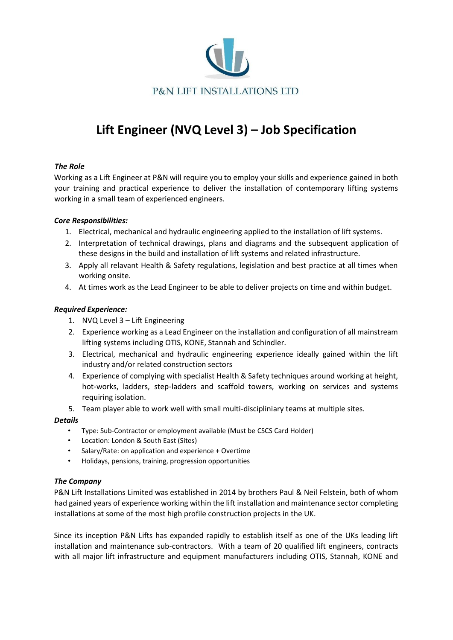

# **Lift Engineer (NVQ Level 3) – Job Specification**

## *The Role*

Working as a Lift Engineer at P&N will require you to employ your skills and experience gained in both your training and practical experience to deliver the installation of contemporary lifting systems working in a small team of experienced engineers.

### *Core Responsibilities:*

- 1. Electrical, mechanical and hydraulic engineering applied to the installation of lift systems.
- 2. Interpretation of technical drawings, plans and diagrams and the subsequent application of these designs in the build and installation of lift systems and related infrastructure.
- 3. Apply all relavant Health & Safety regulations, legislation and best practice at all times when working onsite.
- 4. At times work as the Lead Engineer to be able to deliver projects on time and within budget.

### *Required Experience:*

- 1. NVQ Level 3 Lift Engineering
- 2. Experience working as a Lead Engineer on the installation and configuration of all mainstream lifting systems including OTIS, KONE, Stannah and Schindler.
- 3. Electrical, mechanical and hydraulic engineering experience ideally gained within the lift industry and/or related construction sectors
- 4. Experience of complying with specialist Health & Safety techniques around working at height, hot-works, ladders, step-ladders and scaffold towers, working on services and systems requiring isolation.
- 5. Team player able to work well with small multi-discipliniary teams at multiple sites.

### *Details*

- Type: Sub-Contractor or employment available (Must be CSCS Card Holder)
- Location: London & South East (Sites)
- Salary/Rate: on application and experience + Overtime
- Holidays, pensions, training, progression opportunities

### *The Company*

P&N Lift Installations Limited was established in 2014 by brothers Paul & Neil Felstein, both of whom had gained years of experience working within the lift installation and maintenance sector completing installations at some of the most high profile construction projects in the UK.

Since its inception P&N Lifts has expanded rapidly to establish itself as one of the UKs leading lift installation and maintenance sub-contractors. With a team of 20 qualified lift engineers, contracts with all major lift infrastructure and equipment manufacturers including OTIS, Stannah, KONE and